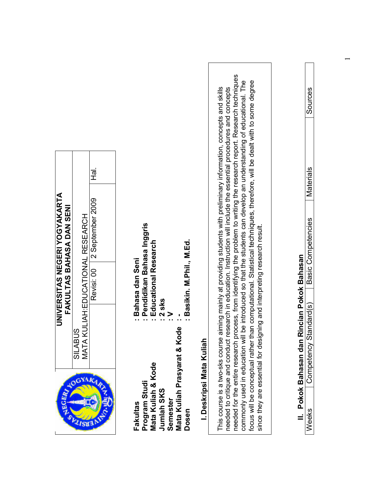|                                                           |                                                                    |                                                                                                                                                |                                                                                                                                                                                                                                                                                                                                                                                                                                                                                                                                                                                               | Sources                                                                  |
|-----------------------------------------------------------|--------------------------------------------------------------------|------------------------------------------------------------------------------------------------------------------------------------------------|-----------------------------------------------------------------------------------------------------------------------------------------------------------------------------------------------------------------------------------------------------------------------------------------------------------------------------------------------------------------------------------------------------------------------------------------------------------------------------------------------------------------------------------------------------------------------------------------------|--------------------------------------------------------------------------|
|                                                           | .<br>고                                                             |                                                                                                                                                |                                                                                                                                                                                                                                                                                                                                                                                                                                                                                                                                                                                               | Materials                                                                |
| UNIVERSITAS NEGERI YOGYAKARTA<br>FAKULTAS BAHASA DAN SENI | 2 September 2009<br>MATA KULIAH:EDUCATIONAL RESEARCH<br>Revisi: 00 | : Pendidikan Bahasa Inggris<br>: Basikin. M.Phil., M.Ed.<br>Educational Research                                                               | process, from identifying the problem to writing the research report. Research techniques<br>commonly used in education will be introduced so that the students can develop an understanding of educational. The<br>focus will be conceptual rather than computational. Statistical techniques, therefore, will be dealt with to some degree<br>This course is a two-sks course aiming mainly at providing students with preliminary information, concepts and skills<br>needed to critique and conduct research in education. Instruction will include the essential procedures and concepts | Basic Competencies                                                       |
|                                                           | <b>SILABUS</b>                                                     | : Bahasa dan Seni<br>2 sks<br>><br>$\mathbf C$                                                                                                 | since they are essential for designing and interpreting research result.                                                                                                                                                                                                                                                                                                                                                                                                                                                                                                                      | II. Pokok Bahasan dan Rincian Pokok Bahasan<br>Standard(s)<br>Competency |
| <b>RGER</b>                                               | HOGYA                                                              | Mata Kuliah Prasyarat & Kode<br>I. Deskripsi Mata Kulial<br>Program Studi<br>Mata Kuliah & Kode<br>Jumlah SKS<br>Semester<br>Fakultas<br>Dosen | needed for the entire research                                                                                                                                                                                                                                                                                                                                                                                                                                                                                                                                                                | Weeks                                                                    |

 $\overline{\Gamma}$ 

٦

 $\overline{\phantom{0}}$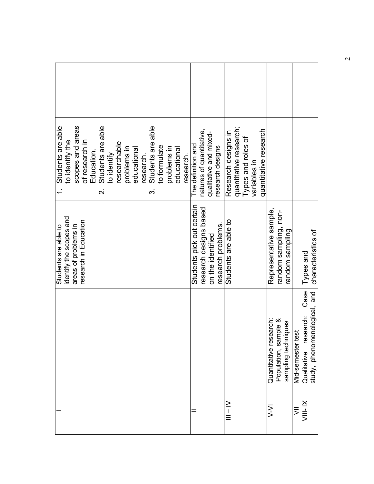| scopes and areas<br>Students are able<br>Students are able<br>Students are able<br>of research in<br>to identify the<br>researchable<br>to formulate<br>problems in<br>problems in<br>educational<br>educational<br>Education.<br>to identify<br>research.<br>research.<br>$\div$<br>$\overline{\mathbf{v}}$<br>က | natures of quantitative,<br>qualitative and mixed-<br>The definition and<br>research designs   | quantitative research;<br>quantitative research<br>Research designs in<br>Types and roles of<br>variables in |                                                                       |                   |                                                                  |
|-------------------------------------------------------------------------------------------------------------------------------------------------------------------------------------------------------------------------------------------------------------------------------------------------------------------|------------------------------------------------------------------------------------------------|--------------------------------------------------------------------------------------------------------------|-----------------------------------------------------------------------|-------------------|------------------------------------------------------------------|
| identify the scopes and<br>research in Education<br>areas of problems in<br>Students are able to                                                                                                                                                                                                                  | Students pick out certain<br>research designs based<br>research problems.<br>on the identified | Students are able to                                                                                         | Representative sample,<br>random sampling, non-<br>buldues uopue.     |                   | characteristics of<br>Types and                                  |
|                                                                                                                                                                                                                                                                                                                   |                                                                                                |                                                                                                              | Population, sample &<br>Quantitative research:<br>sampling techniques | Mid-semester test | Case<br>study, phenomenological, and<br>research:<br>Qualitative |
|                                                                                                                                                                                                                                                                                                                   |                                                                                                | ニーニ                                                                                                          | ミン                                                                    | $\bar{5}$         | ×<br>三<br>マ                                                      |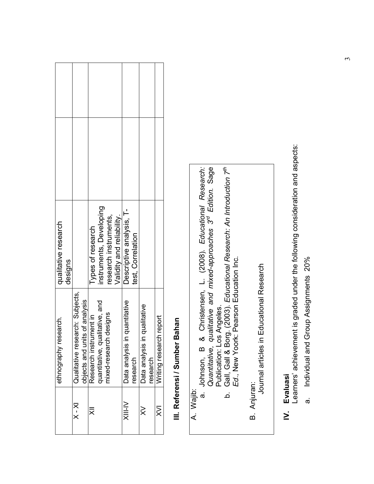| qualitative research             |                                                                  | nstruments, Developing<br>Types of research              | Validity and reliability.<br>research instruments, | Descriptive analysis, T-<br>test, Correlation |                                          |                         |
|----------------------------------|------------------------------------------------------------------|----------------------------------------------------------|----------------------------------------------------|-----------------------------------------------|------------------------------------------|-------------------------|
| designs<br>ethnography research. | Qualitative research: Subjects,<br>objects and units of analysis | quantitative, qualitative, and<br>Research instrument in | designs<br>mixed-research                          | Data analysis in quantitative<br>research     | Data analysis in qualitative<br>research | Writing research report |
|                                  | $X - X$                                                          | ₹                                                        |                                                    | NI-l⊠                                         | ⋧                                        | $\gtrapprox$            |

## III. Referensi / Sumber Bahan III. Referensi / Sumber Bahan

| ż  |
|----|
| ۰. |
|    |
|    |
|    |
|    |
| ŗ  |
|    |
| <  |
|    |

- a. Johnson, B & Christensen, L. (2008). Educational Research: Quantitative, qualitative and mixed-approaches 3<sup>rd</sup> Edition. Sage Publication: Los Angeles.  $\dot{\mathbf{e}}$ 
	- Publication: Los Angeles.<br>Gall, Gall & Borg. (2003). *Educational Research: An Introduction 7<sup>th</sup>*<br>Ed., New Yoork: Pearson Education Inc. b. Gall, Gall & Borg. (2003). Educational Research: An Introduction 7<sup>th</sup> Ed., New Yoork: Pearson Education Inc. .<br>م
- B. Anjuran: B. Anjuran:

 Journal articles in Educational Research Journal articles in Educational Research

## Evaluasi IV. Evaluasi  $\geq$

Learners' achievement is graded under the following consideration and aspects: Learners' achievement is graded under the following consideration and aspects: a. Individual and Group Assignments 20% Individual and Group Assignments 20% .<br>თ

 $\tilde{3}$